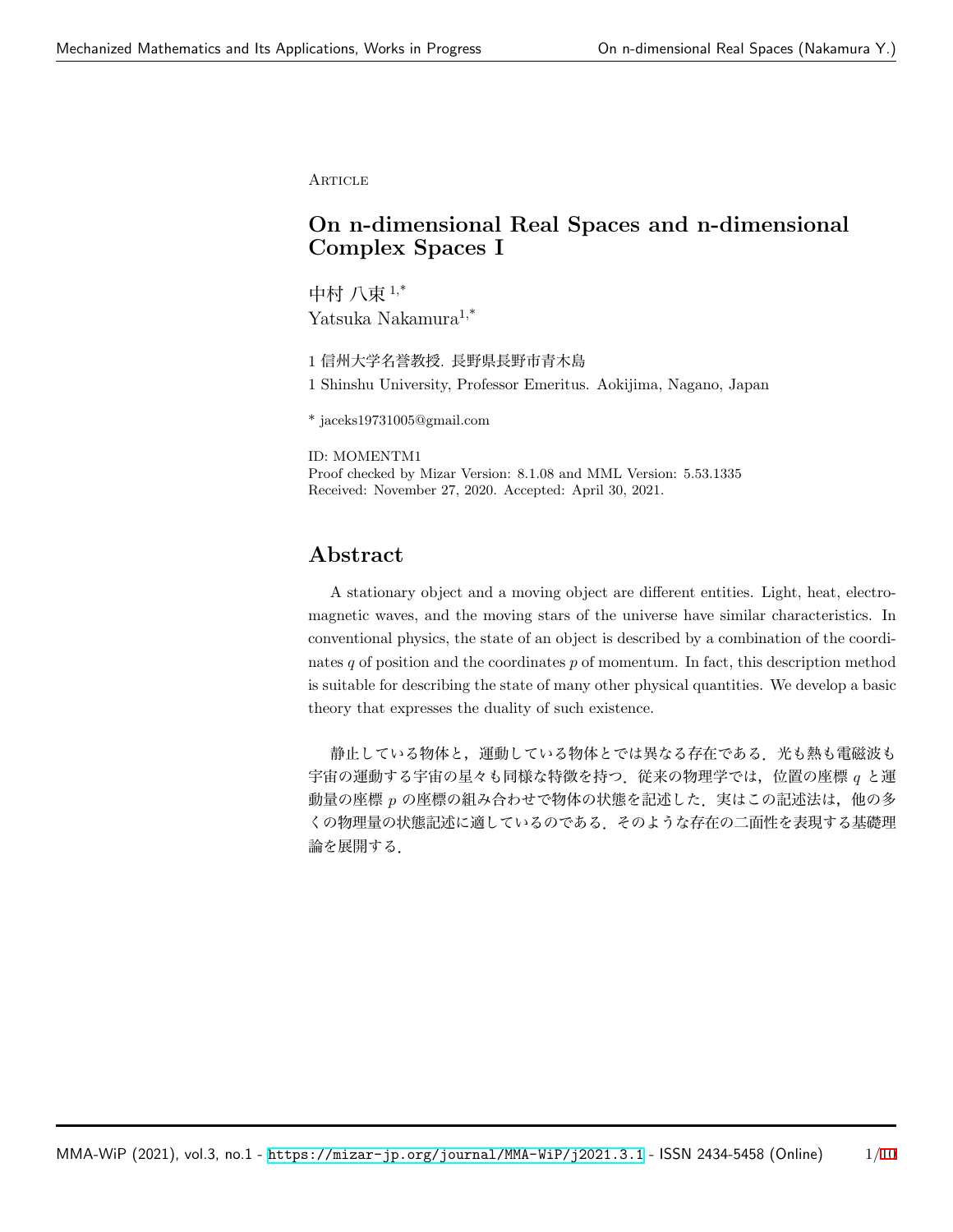**ARTICLE** 

# **On n-dimensional Real Spaces and n-dimensional Complex Spaces I**

中村 八束 1,\* Yatsuka Nakamura1,\*

1 信州大学名誉教授. 長野県長野市青木島

1 Shinshu University, Professor Emeritus. Aokijima, Nagano, Japan

\* jaceks19731005@gmail.com

ID: MOMENTM1 Proof checked by Mizar Version: 8.1.08 and MML Version: 5.53.1335 Received: November 27, 2020. Accepted: April 30, 2021.

## **Abstract**

A stationary object and a moving object are different entities. Light, heat, electromagnetic waves, and the moving stars of the universe have similar characteristics. In conventional physics, the state of an object is described by a combination of the coordinates *q* of position and the coordinates *p* of momentum. In fact, this description method is suitable for describing the state of many other physical quantities. We develop a basic theory that expresses the duality of such existence.

静止している物体と,運動している物体とでは異なる存在である.光も熱も電磁波も 宇宙の運動する宇宙の星々も同様な特徴を持つ.従来の物理学では,位置の座標 *q* と運 動量の座標 p の座標の組み合わせで物体の状態を記述した. 実はこの記述法は, 他の多 くの物理量の状態記述に適しているのである.そのような存在の二面性を表現する基礎理 論を展開する.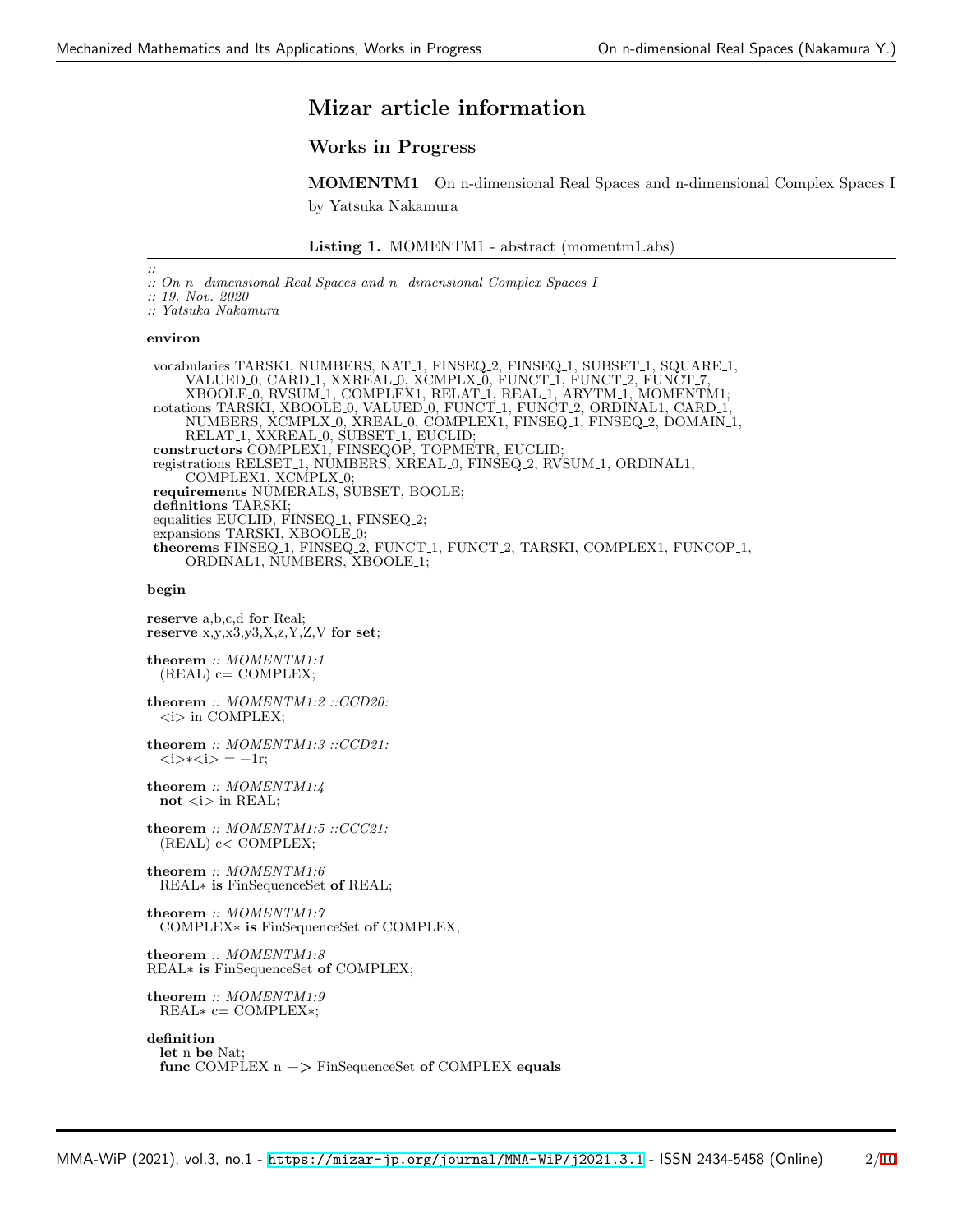# **Mizar article information**

### **Works in Progress**

**MOMENTM1** On n-dimensional Real Spaces and n-dimensional Complex Spaces I by Yatsuka Nakamura

```
Listing 1. MOMENTM1 - abstract (momentm1.abs)
```
*:: :: On n−dimensional Real Spaces and n−dimensional Complex Spaces I*

*:: 19. Nov. 2020*

*:: Yatsuka Nakamura*

#### **environ**

vocabularies TARSKI, NUMBERS, NAT<sub>-1</sub>, FINSEQ<sub>-2</sub>, FINSEQ<sub>-1</sub>, SUBSET<sub>-1</sub>, SQUARE<sub>-1</sub>, VALUED 0, CARD 1, XXREAL 0, XCMPLX 0, FUNCT 1, FUNCT 2, FUNCT 7, XBOOLE 0, RVSUM 1, COMPLEX1, RELAT 1, REAL 1, ARYTM 1, MOMENTM1; notations TARSKI, XBOOLE 0, VALUED 0, FUNCT 1, FUNCT 2, ORDINAL1, CARD 1, NUMBERS, XCMPLX 0, XREAL 0, COMPLEX1, FINSEQ 1, FINSEQ 2, DOMAIN 1, RELAT<sub>-1</sub>, XXREAL<sub>-0</sub>, SUBSET<sub>-1</sub>, EUCLID; **constructors** COMPLEX1, FINSEQOP, TOPMETR, EUCLID; registrations RELSET 1, NUMBERS, XREAL 0, FINSEQ 2, RVSUM 1, ORDINAL1, COMPLEX1, XCMPLX<sub>-0</sub>; **requirements** NUMERALS, SUBSET, BOOLE; **definitions** TARSKI; equalities EUCLID, FINSEQ<sub>-1</sub>, FINSEQ<sub>-2</sub>; expansions TARSKI, XBOOLE\_0; **theorems** FINSEQ 1, FINSEQ 2, FUNCT 1, FUNCT 2, TARSKI, COMPLEX1, FUNCOP 1, ORDINAL1, NUMBERS, XBOOLE<sub>-1</sub>;

#### **begin**

**reserve** a,b,c,d **for** Real; **reserve** x,y,x3,y3,X,z,Y,Z,V **for set**;

**theorem** *:: MOMENTM1:1*  $(REAL)$  c= COMPLEX;

**theorem** *:: MOMENTM1:2 ::CCD20: <*i*>* in COMPLEX;

**theorem** *:: MOMENTM1:3 ::CCD21: <*i*>*∗*<*i*>* = −1r;

**theorem** *:: MOMENTM1:4* not  $\langle i \rangle$  in REAL;

**theorem** *:: MOMENTM1:5 ::CCC21:* (REAL) c*<* COMPLEX;

**theorem** *:: MOMENTM1:6* REAL∗ **is** FinSequenceSet **of** REAL;

**theorem** *:: MOMENTM1:7* COMPLEX∗ **is** FinSequenceSet **of** COMPLEX;

**theorem** *:: MOMENTM1:8* REAL∗ **is** FinSequenceSet **of** COMPLEX;

**theorem** *:: MOMENTM1:9* REAL∗ c= COMPLEX∗;

**definition let** n **be** Nat; **func** COMPLEX n −*>* FinSequenceSet **of** COMPLEX **equals**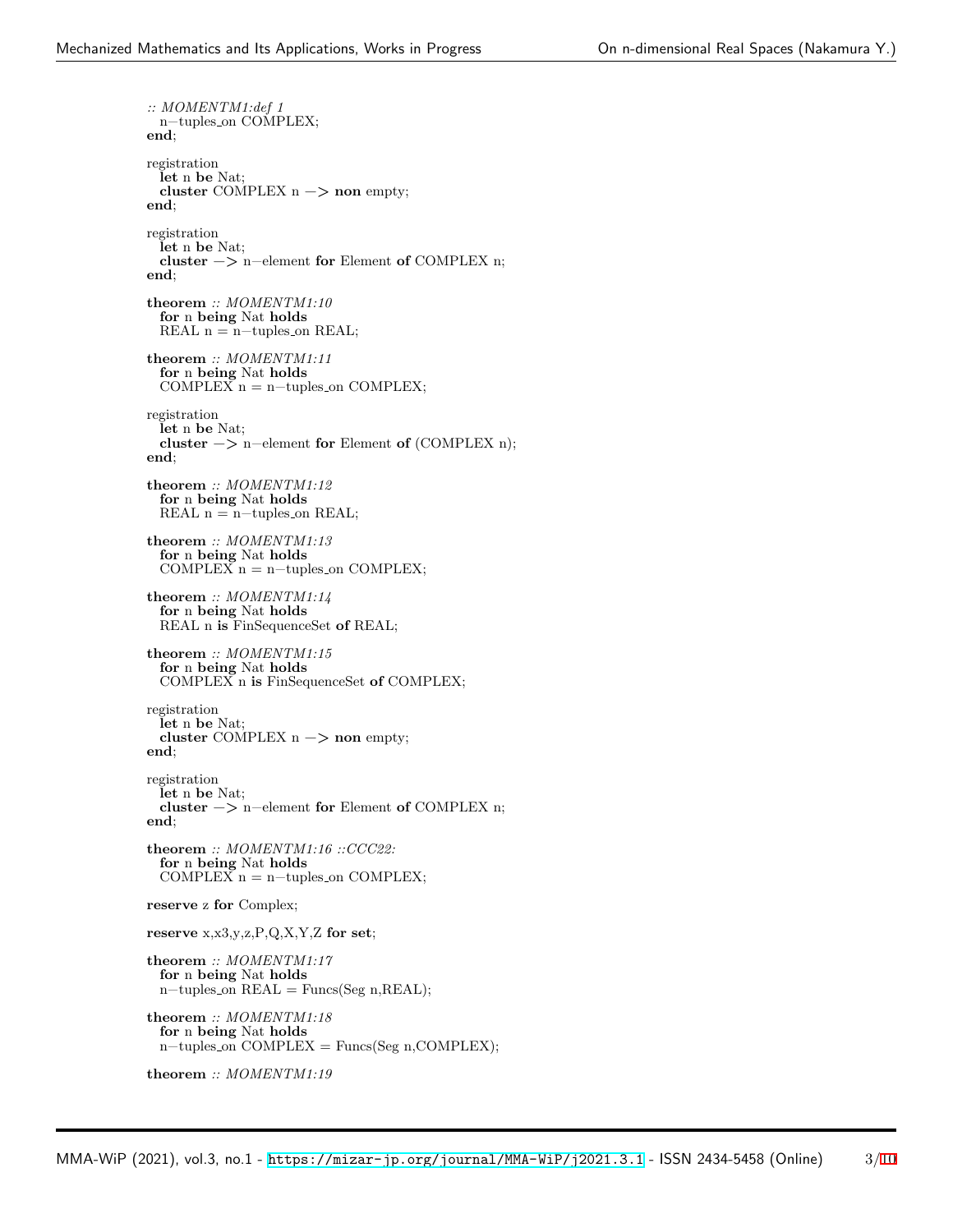*:: MOMENTM1:def 1* n−tuples\_on COMPLEX; **end**; registration **let** n **be** Nat; **cluster** COMPLEX  $n \rightarrow \text{non empty}$ ; **end**; registration **let** n **be** Nat; **cluster** −*>* n−element **for** Element **of** COMPLEX n; **end**; **theorem** *:: MOMENTM1:10* **for** n **being** Nat **holds** REAL  $n = n$ -tuples\_on REAL; **theorem** *:: MOMENTM1:11* **for** n **being** Nat **holds** COMPLEX  $n = n$ -tuples\_on COMPLEX; registration **let** n **be** Nat; **cluster** −*>* n−element **for** Element **of** (COMPLEX n); **end**; **theorem** *:: MOMENTM1:12* **for** n **being** Nat **holds** REAL  $n = n$ -tuples on REAL; **theorem** *:: MOMENTM1:13* **for** n **being** Nat **holds** COMPLEX  $n = n$ -tuples\_on COMPLEX; **theorem** *:: MOMENTM1:14* **for** n **being** Nat **holds** REAL n **is** FinSequenceSet **of** REAL; **theorem** *:: MOMENTM1:15* **for** n **being** Nat **holds** COMPLEX n **is** FinSequenceSet **of** COMPLEX; registration **let** n **be** Nat; **cluster** COMPLEX  $n \rightarrow \text{non empty}$ ; **end**; registration **let** n **be** Nat; **cluster** −*>* n−element **for** Element **of** COMPLEX n; **end**; **theorem** *:: MOMENTM1:16 ::CCC22:* **for** n **being** Nat **holds** COMPLEX  $n = n$ -tuples\_on COMPLEX; **reserve** z **for** Complex; **reserve** x,x3,y,z,P,Q,X,Y,Z **for set**; **theorem** *:: MOMENTM1:17* **for** n **being** Nat **holds** n−tuples on REAL = Funcs(Seg n,REAL); **theorem** *:: MOMENTM1:18* **for** n **being** Nat **holds** n−tuples on COMPLEX = Funcs(Seg n,COMPLEX); **theorem** *:: MOMENTM1:19*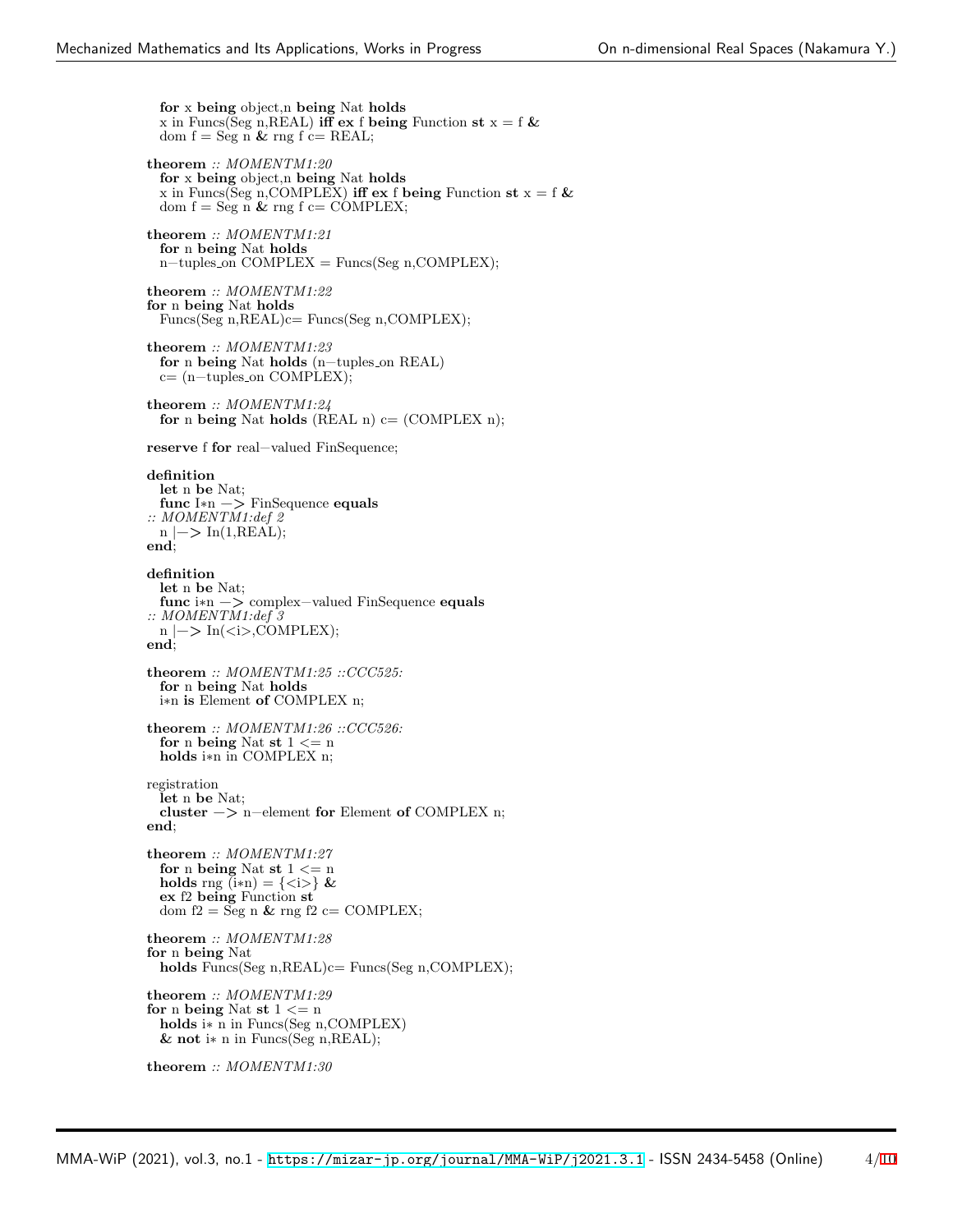**for** x **being** object,n **being** Nat **holds** x in Funcs(Seg n, REAL) **iff** ex f being Function  $st x = f \&$ dom  $f = \text{Seg } \nightharpoonup \nightharpoonup \nightharpoonup \text{reg } f \nightharpoonup \text{REAL};$ **theorem** *:: MOMENTM1:20* **for** x **being** object,n **being** Nat **holds** x in Funcs(Seg n, COMPLEX) **iff** ex f being Function st  $x = f \&$ dom  $f = \text{Seg } n \& rng f c = \text{COMPLEX};$ **theorem** *:: MOMENTM1:21* **for** n **being** Nat **holds** n−tuples on COMPLEX = Funcs(Seg n,COMPLEX); **theorem** *:: MOMENTM1:22* **for** n **being** Nat **holds** Funcs(Seg n, REAL)c= Funcs(Seg n, COMPLEX); **theorem** *:: MOMENTM1:23* **for** n **being** Nat **holds** (n−tuples on REAL) c= (n−tuples on COMPLEX); **theorem** *:: MOMENTM1:24* **for** n **being** Nat **holds** (REAL n) c= (COMPLEX n); **reserve** f **for** real−valued FinSequence; **definition let** n **be** Nat; **func** I∗n −*>* FinSequence **equals** *:: MOMENTM1:def 2* n *|*−*>* In(1,REAL); **end**; **definition let** n **be** Nat; **func** i∗n −*>* complex−valued FinSequence **equals** *:: MOMENTM1:def 3* n *|*−*>* In(*<*i*>*,COMPLEX); **end**; **theorem** *:: MOMENTM1:25 ::CCC525:* **for** n **being** Nat **holds** i∗n **is** Element **of** COMPLEX n; **theorem** *:: MOMENTM1:26 ::CCC526:* **for** n **being** Nat **st**  $1 \leq n$ **holds** i∗n in COMPLEX n; registration **let** n **be** Nat; **cluster** −*>* n−element **for** Element **of** COMPLEX n; **end**; **theorem** *:: MOMENTM1:27* **for** n **being** Nat **st** 1 *<*= n **holds** rng  $(i*n) = \{\langle i \rangle\}$  & **ex** f2 **being** Function **st** dom  $f2 = \text{Seg } n \& rng f2 \text{ c} = \text{COMPLEX};$ **theorem** *:: MOMENTM1:28* **for** n **being** Nat **holds** Funcs(Seg n,REAL)c= Funcs(Seg n,COMPLEX); **theorem** *:: MOMENTM1:29* **for** n **being** Nat **st**  $1 \leq n$ **holds** i∗ n in Funcs(Seg n,COMPLEX) **& not** i∗ n in Funcs(Seg n,REAL); **theorem** *:: MOMENTM1:30*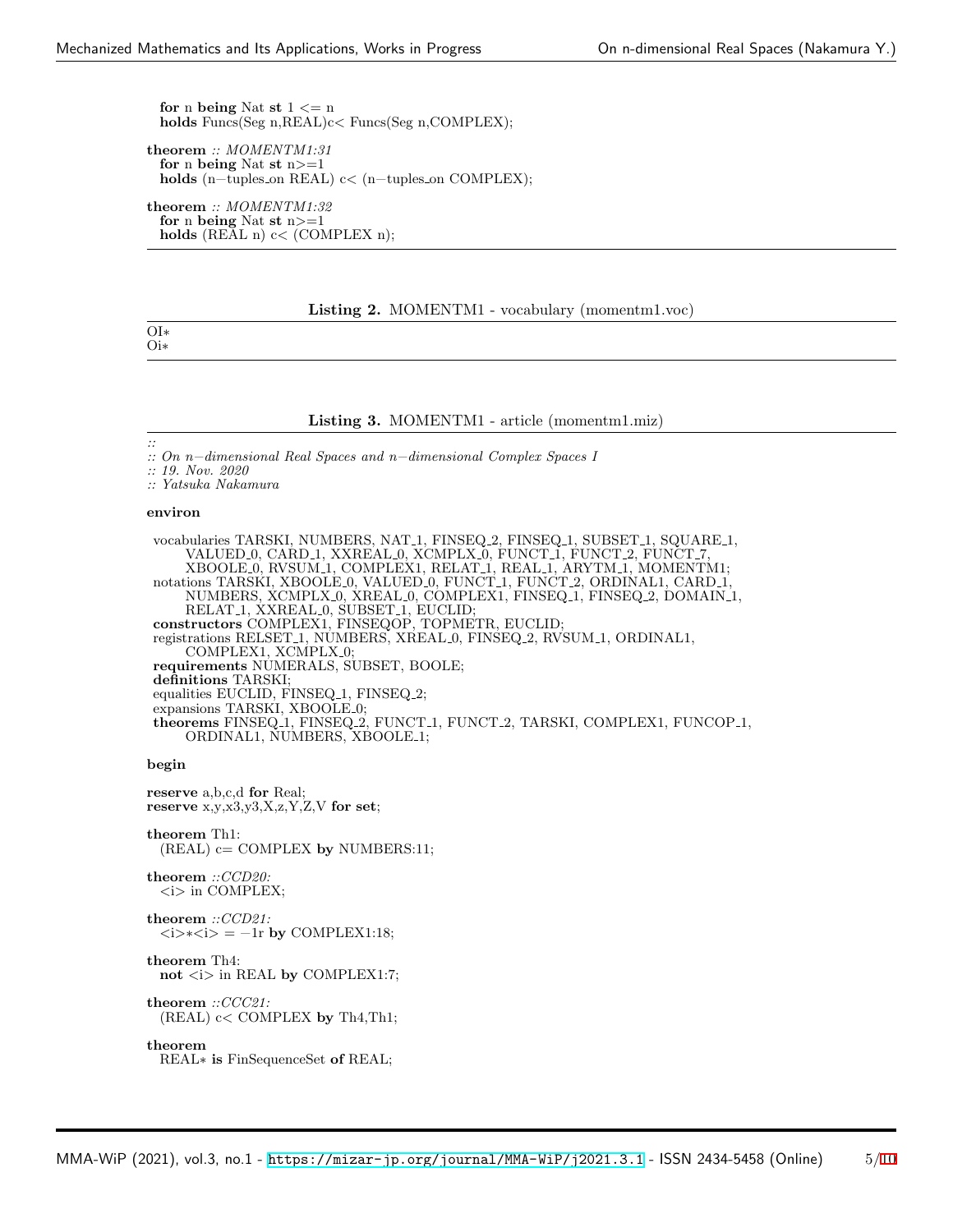**for** n **being** Nat **st**  $1 \le n$ **holds** Funcs(Seg n,REAL)c*<* Funcs(Seg n,COMPLEX);

**theorem** *:: MOMENTM1:31* **for** n **being** Nat **st** n*>*=1 **holds** (n−tuples on REAL) c*<* (n−tuples on COMPLEX);

**theorem** *:: MOMENTM1:32* **for** n **being** Nat **st** n*>*=1 **holds** (REAL n) c*<* (COMPLEX n);

#### **Listing 2.** MOMENTM1 - vocabulary (momentm1.voc)

OI∗ Oi∗

#### **Listing 3.** MOMENTM1 - article (momentm1.miz)

*::*

*:: On n−dimensional Real Spaces and n−dimensional Complex Spaces I*

*:: 19. Nov. 2020*

*:: Yatsuka Nakamura*

#### **environ**

vocabularies TARSKI, NUMBERS, NAT 1, FINSEQ 2, FINSEQ 1, SUBSET 1, SQUARE 1, VALUED 0, CARD 1, XXREAL 0, XCMPLX 0, FUNCT 1, FUNCT 2, FUNCT 7, XBOOLE 0, RVSUM 1, COMPLEX1, RELAT 1, REAL 1, ARYTM 1, MOMENTM1; notations TARSKI, XBOOLE 0, VALUED 0, FUNCT 1, FUNCT 2, ORDINAL1, CARD 1 NUMBERS, XCMPLX 0, XREAL 0, COMPLEX1, FINSEQ 1, FINSEQ 2, DOMAIN 1, RELAT<sub>-1</sub>, XXREAL<sub>-0</sub>, SUBSET<sub>-1</sub>, EUCLID; **constructors** COMPLEX1, FINSEQOP, TOPMETR, EUCLID; registrations RELSET 1, NUMBERS, XREAL 0, FINSEQ 2, RVSUM 1, ORDINAL1, COMPLEX1, XCMPLX<sub>-0</sub>; **requirements** NUMERALS, SUBSET, BOOLE; **definitions** TARSKI; equalities EUCLID, FINSEQ<sub>-1</sub>, FINSEQ<sub>-2</sub>; expansions TARSKI, XBOOLE\_0; **theorems** FINSEQ 1, FINSEQ 2, FUNCT 1, FUNCT 2, TARSKI, COMPLEX1, FUNCOP 1, ORDINAL1, NUMBERS, XBOOLE\_1;

#### **begin**

**reserve** a,b,c,d **for** Real; **reserve** x,y,x3,y3,X,z,Y,Z,V **for set**; **theorem** Th1:

(REAL) c= COMPLEX **by** NUMBERS:11;

#### **theorem** *::CCD20: <*i*>* in COMPLEX;

#### **theorem** *::CCD21: <*i*>*∗*<*i*>* = −1r **by** COMPLEX1:18;

**theorem** Th4:

**not** *<*i*>* in REAL **by** COMPLEX1:7;

**theorem** *::CCC21:* (REAL) c*<* COMPLEX **by** Th4,Th1;

#### **theorem**

REAL∗ **is** FinSequenceSet **of** REAL;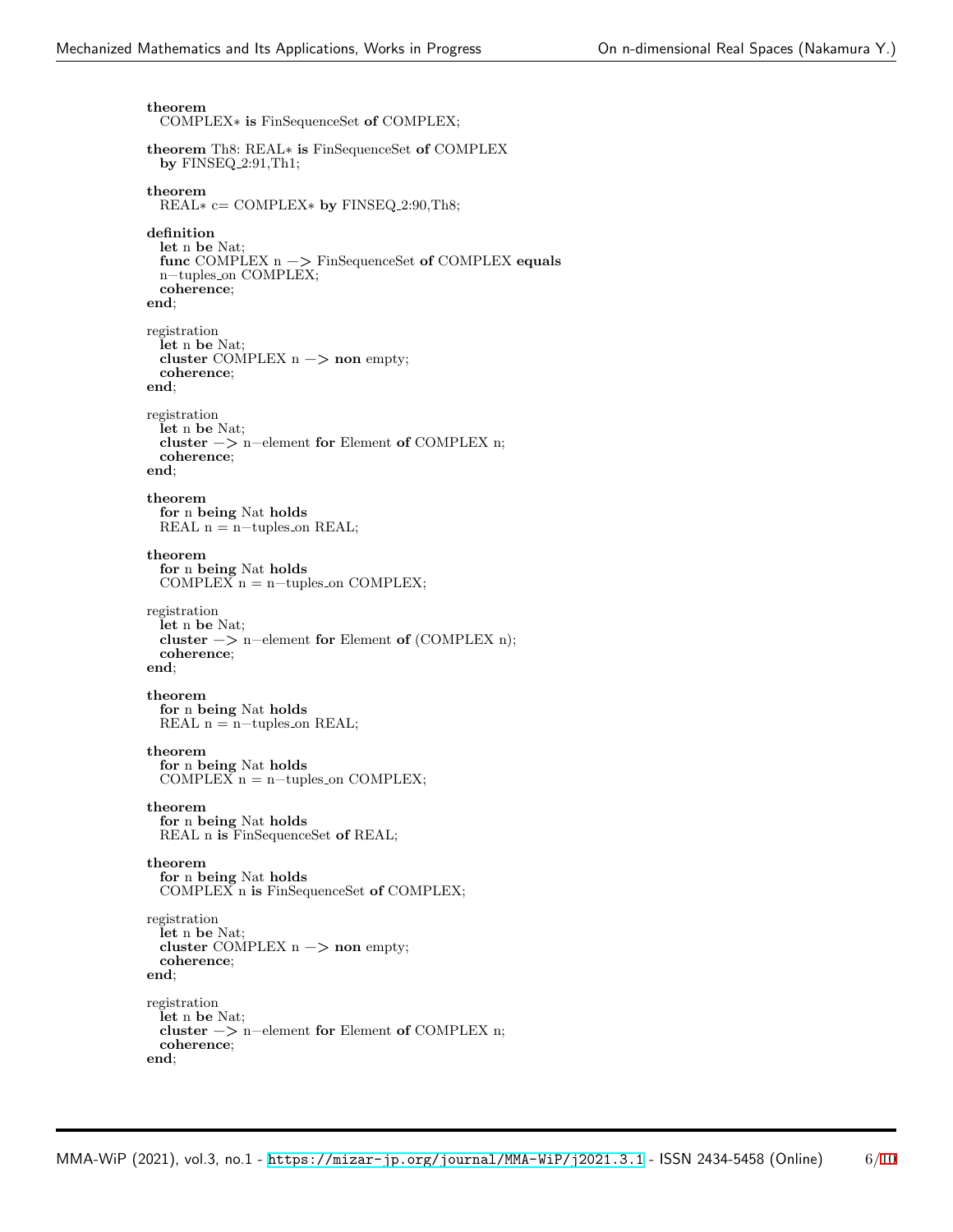**theorem** COMPLEX∗ **is** FinSequenceSet **of** COMPLEX; **theorem** Th8: REAL∗ **is** FinSequenceSet **of** COMPLEX **by** FINSEQ 2:91,Th1; **theorem** REAL∗ c= COMPLEX∗ **by** FINSEQ 2:90,Th8; **definition let** n **be** Nat; **func** COMPLEX n −*>* FinSequenceSet **of** COMPLEX **equals** n−tuples on COMPLEX; **coherence**; **end**; registration **let** n **be** Nat; **cluster** COMPLEX n −*>* **non** empty; **coherence**; **end**; registration **let** n **be** Nat; **cluster** −*>* n−element **for** Element **of** COMPLEX n; **coherence**; **end**; **theorem for** n **being** Nat **holds** REAL  $n = n$ -tuples\_on REAL; **theorem for** n **being** Nat **holds** COMPLEX  $n = n$ -tuples on COMPLEX; registration **let** n **be** Nat; **cluster** −*>* n−element **for** Element **of** (COMPLEX n); **coherence**; **end**; **theorem for** n **being** Nat **holds** REAL  $n = n$ -tuples on REAL; **theorem for** n **being** Nat **holds** COMPLEX  $n = n$ -tuples on COMPLEX; **theorem for** n **being** Nat **holds** REAL n **is** FinSequenceSet **of** REAL; **theorem for** n **being** Nat **holds** COMPLEX n **is** FinSequenceSet **of** COMPLEX; registration **let** n **be** Nat; **cluster** COMPLEX n −*>* **non** empty; **coherence**; **end**; registration **let** n **be** Nat; **cluster** −*>* n−element **for** Element **of** COMPLEX n; **coherence**; **end**;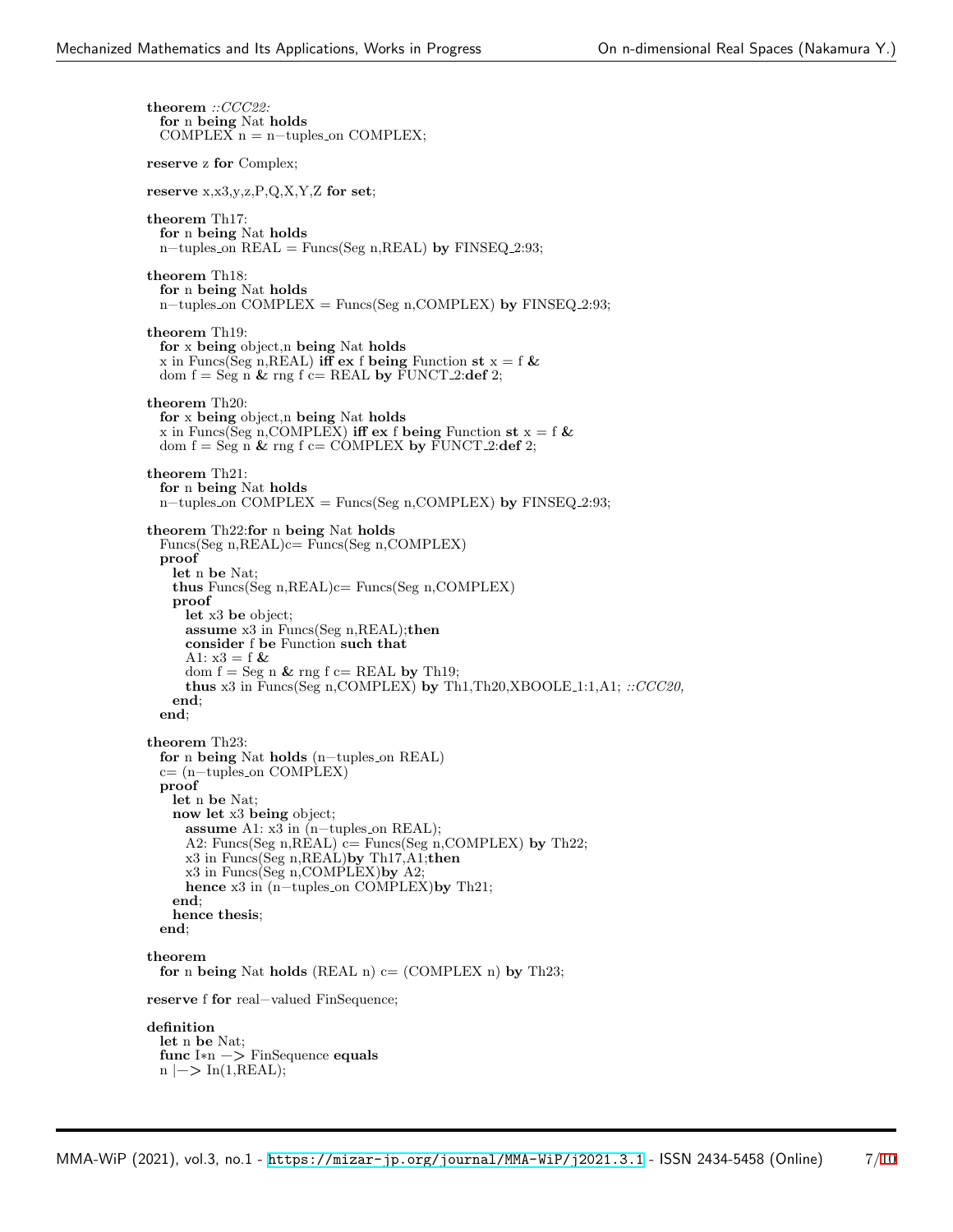**theorem** *::CCC22:* **for** n **being** Nat **holds** COMPLEX  $n = n$ -tuples on COMPLEX; **reserve** z **for** Complex; **reserve** x,x3,y,z,P,Q,X,Y,Z **for set**; **theorem** Th17: **for** n **being** Nat **holds** n−tuples on REAL = Funcs(Seg n,REAL) **by** FINSEQ 2:93; **theorem** Th18: **for** n **being** Nat **holds** n−tuples on COMPLEX = Funcs(Seg n,COMPLEX) **by** FINSEQ 2:93; **theorem** Th19: **for** x **being** object,n **being** Nat **holds** x in Funcs(Seg n, REAL) **iff** ex f being Function st  $x = f \&$ dom  $f = \text{Seg } n \& \text{rng } f \text{ c} = \text{REAL}$  by  $\text{FUNCT-2:def } 2$ ; **theorem** Th20: **for** x **being** object,n **being** Nat **holds** x in Funcs(Seg n, COMPLEX) **iff** ex f being Function st  $x = f$  & dom  $f = \text{Seg } n \& \text{rng } f \text{ c} = \text{COMPLEX by FUNCTION-2:def 2};$ **theorem** Th21: **for** n **being** Nat **holds** n−tuples on COMPLEX = Funcs(Seg n,COMPLEX) **by** FINSEQ 2:93; **theorem** Th22:**for** n **being** Nat **holds** Funcs(Seg n,REAL)c= Funcs(Seg n,COMPLEX) **proof let** n **be** Nat; **thus** Funcs(Seg n,REAL)c= Funcs(Seg n,COMPLEX) **proof let** x3 **be** object; **assume** x3 in Funcs(Seg n,REAL);**then consider** f **be** Function **such that** A1:  $x3 = f \&$ dom  $f = \text{Seg } n \& rng f \text{ c} = \text{REAL}$  by Th19; **thus** x3 in Funcs(Seg n,COMPLEX) **by** Th1,Th20,XBOOLE 1:1,A1; *::CCC20,* **end**; **end**; **theorem** Th23: **for** n **being** Nat **holds** (n−tuples on REAL) c= (n−tuples on COMPLEX) **proof let** n **be** Nat; **now let** x3 **being** object; **assume** A1: x3 in (n−tuples\_on REAL); A2: Funcs(Seg n,REAL) c= Funcs(Seg n,COMPLEX) **by** Th22; x3 in Funcs(Seg n,REAL)**by** Th17,A1;**then** x3 in Funcs(Seg n,COMPLEX)**by** A2; **hence** x3 in (n−tuples on COMPLEX)**by** Th21; **end**; **hence thesis**; **end**; **theorem for** n **being** Nat **holds** (REAL n)  $c = (COMPLEX n)$  **by** Th23; **reserve** f **for** real−valued FinSequence; **definition let** n **be** Nat; **func** I∗n −*>* FinSequence **equals** n *|*−*>* In(1,REAL);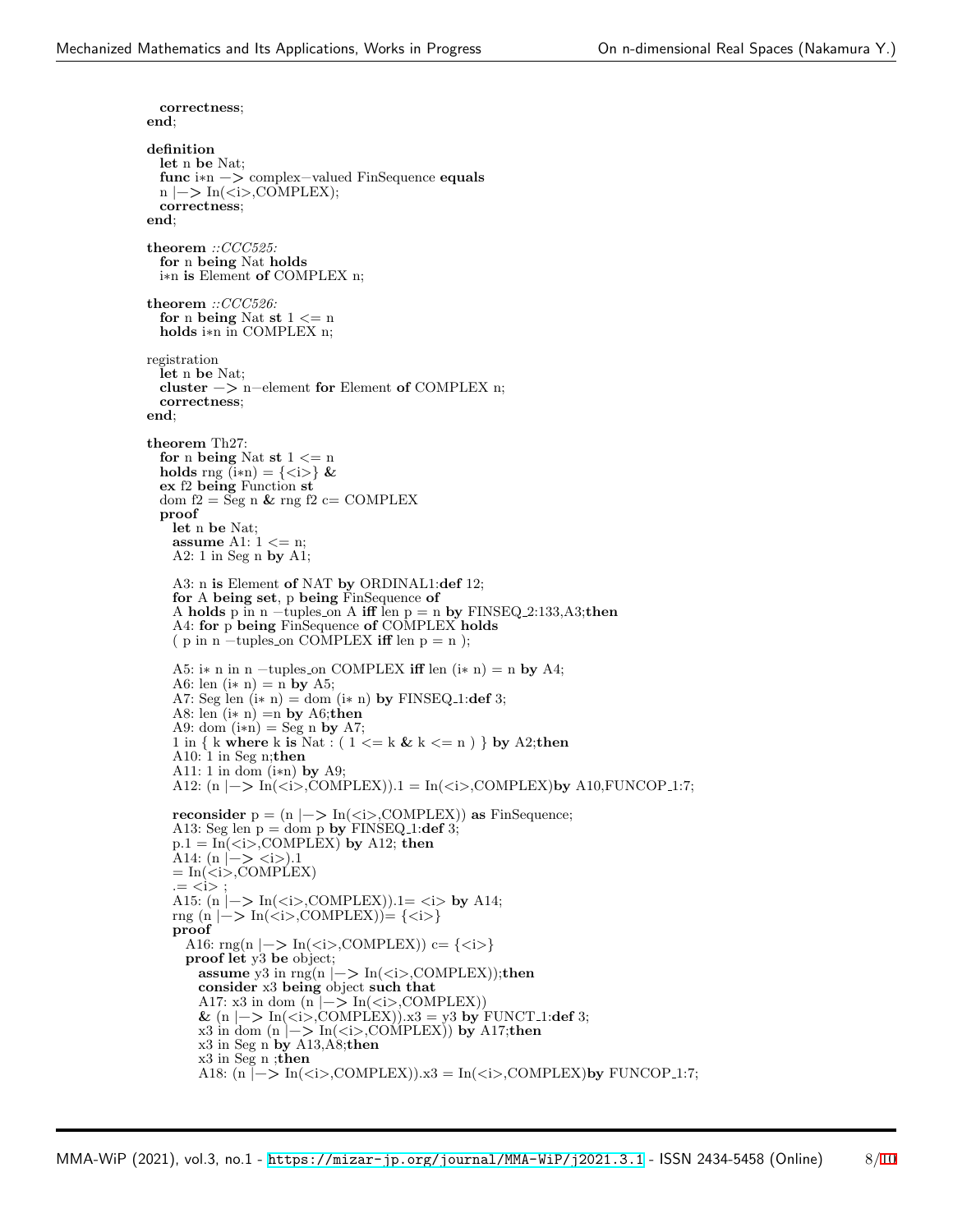```
correctness;
end;
definition
  let n be Nat;
  func i∗n −> complex−valued FinSequence equals
  n |−> In(<i>,COMPLEX);
  correctness;
end;
theorem ::CCC525:
  for n being Nat holds
  i∗n is Element of COMPLEX n;
theorem ::CCC526:
  for n being Nat st 1 <= n
  holds i∗n in COMPLEX n;
registration
  let n be Nat;
  cluster −> n−element for Element of COMPLEX n;
  correctness;
end;
theorem Th27:
  for n being Nat st 1 <= n
  holds rng (i*n) = \{ \langle i \rangle \} &
  ex f2 being Function st
  dom f2 = Seg n & rng f2 c= COMPLEX
 proof
    let n be Nat;
    assume A1: 1 <= n;
    A2: 1 in Seg n by A1;
    A3: n is Element of NAT by ORDINAL1:def 12;
    for A being set, p being FinSequence of
    A holds p in n −tuples on A iff len p = n by FINSEQ 2:133,A3;then
    A4: for p being FinSequence of COMPLEX holds
    (p \in \mathbb{R}) n −tuples_on COMPLEX iff len p = n );
    A5: i∗ n in n −tuples on COMPLEX iff len (i∗ n) = n by A4;
    A6: len (i * n) = n by A5;
    A7: Seg len (i * n) = dom (i * n) by FINSEQ<sub>-1</sub>: def 3;
    A8: len (i∗ n) =n by A6;then
    A9: dom (i*n) = Seg n by A7;
    1 in { k where k is Nat : ( 1 <= k & k <= n ) } by A2;then
    A10: 1 in Seg n;then
    A11: 1 in dom (i∗n) by A9;
    A12: (n |−> In(<i>,COMPLEX)).1 = In(<i>,COMPLEX)by A10,FUNCOP 1:7;
    reconsider p = (n \mid -\rangle \text{In}(\langle i \rangle, \text{COMPLEX})) as FinSequence;
    A13: Seg len p = dom p by FINSEQ<sub>-1</sub>: def 3;
    p.1 = \text{In}(\text{}< i\text{}> \text{.COMPLEX}) by A12; then
    A14: (n \mid -\rangle \langle i \rangle).1
    =In(\langlei>,COMPLEX)
    = \langle i \rangleA15: (n |−> In(<i>,COMPLEX)).1= <i> by A14;
    rng (n |−> In(<i>,COMPLEX))= {<i>}
    proof
      A16: rng(n |−> In(<i>,COMPLEX)) c= {<i>}
      proof let y3 be object;
       assume y3 in rng(n | → \text{In}(\text{<}i), COMPLEX));then
       consider x3 being object such that
        A17: x3 in dom (n |−> In(<i>,COMPLEX))
       & (n |−> In(<i>,COMPLEX)).x3 = y3 by FUNCT 1:def 3;
       x3 in dom (n |−> In(<i>,COMPLEX)) by A17;then
       x3 in Seg n by A13,A8;then
       x3 in Seg n ;then
       A18: (n |-> In(\langlei>,COMPLEX)).x3 = In(\langlei>,COMPLEX)by FUNCOP<sub>-1</sub>:7;
```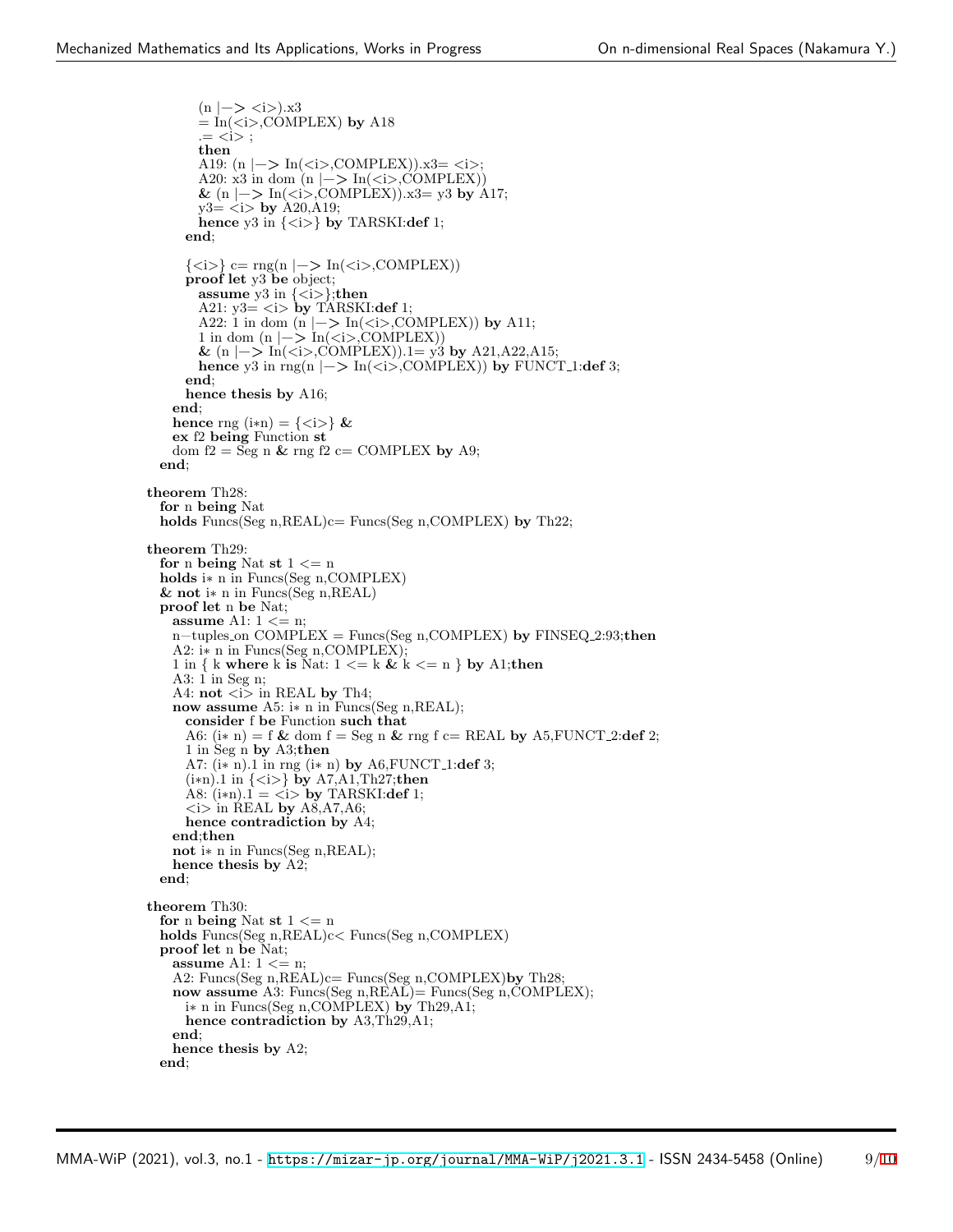```
(n |−> <i>).x3
       = In(\lt i>,COMPLEX) by A18
       .= <i> ;
       then
       A19: (n |−> In(<i>,COMPLEX)).x3= <i>;
       A20: x3 in dom (n |−> In(<i>,COMPLEX))
       & (n |−> In(<i>,COMPLEX)).x3= y3 by A17;
       y3= <i> by A20,A19;
       hence y3 in \{\langle i \rangle\} by TARSKI:def 1;
     end;
     {<i>} c= rng(n |−> In(<i>,COMPLEX))
     proof let y3 be object;
       assume y3 in \{\langle i \rangle\}; then
       A21: y3 = \langle i \rangle by TARSKI:def 1;
       A22: 1 in dom (n |−> In(<i>,COMPLEX)) by A11;
       1 in dom (n |−> In(<i>,COMPLEX))
       & (n |−> In(<i>,COMPLEX)).1= y3 by A21,A22,A15;
       hence y3 in rng(n |−> In(<i>,COMPLEX)) by FUNCT 1:def 3;
     end;
     hence thesis by A16;
   end;
   hence rng (i*n) = \{\langle i \rangle\} &
   ex f2 being Function st
   dom f2 = \text{Seg } n \& rng f2 \text{ c} = \text{COMPLEX by A9};end;
theorem Th28:
 for n being Nat
 holds Funcs(Seg n,REAL)c= Funcs(Seg n,COMPLEX) by Th22;
theorem Th29:
 for n being Nat st 1 \le nholds i∗ n in Funcs(Seg n,COMPLEX)
 & not i∗ n in Funcs(Seg n,REAL)
 proof let n be Nat;
   assume A1: 1 <= n;
   n−tuples on COMPLEX = Funcs(Seg n,COMPLEX) by FINSEQ 2:93;then
   A2: i∗ n in Funcs(Seg n,COMPLEX);
   1 in { k where k is Nat: 1 <= k & k <= n } by A1;then
   A3: 1 in Seg n;
   A4: \text{not} \lt i in REAL by Th4;
   now assume A5: i∗ n in Funcs(Seg n,REAL);
     consider f be Function such that
     A6: (i∗ n) = f & dom f = Seg n & rng f c= REAL by A5,FUNCT 2:def 2;
     1 in Seg n by A3;then
     A7: (i∗ n).1 in rng (i∗ n) by A6,FUNCT 1:def 3;
     (i∗n).1 in {<i>} by A7,A1,Th27;then
     A8: (i*n).1 = \langle i \rangle by TARSKI:def 1;
      \langlei> in REAL by A8,A7,A6;
     hence contradiction by A4;
   end;then
   not i∗ n in Funcs(Seg n,REAL);
   hence thesis by A2;
 end;
theorem Th30:
 for n being Nat st 1 \le nholds Funcs(Seg n,REAL)c< Funcs(Seg n,COMPLEX)
 proof let n be Nat;
   assume A1: 1 <= n;
   A2: Funcs(Seg n,REAL)c= Funcs(Seg n,COMPLEX)by Th28;
   now assume A3: Funcs(Seg n,REAL)= Funcs(Seg n,COMPLEX);
     i∗ n in Funcs(Seg n,COMPLEX) by Th29,A1;
     hence contradiction by A3,Th29,A1;
   end;
   hence thesis by A2;
 end;
```